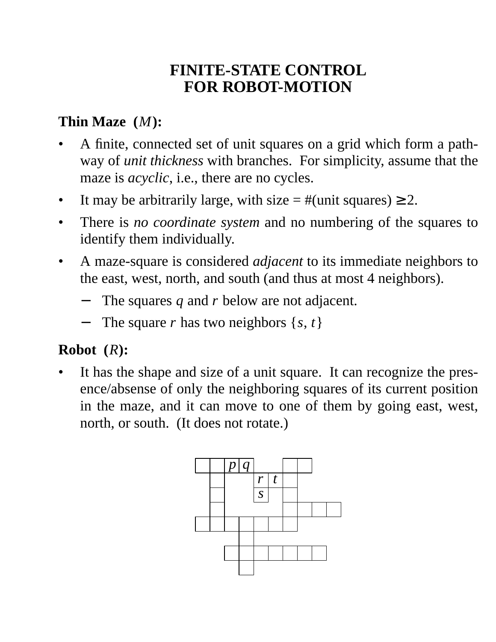## **FINITE-STATE CONTROL FOR ROBOT-MOTION**

### **Thin Maze (***M***):**

- A finite, connected set of unit squares on a grid which form a pathway of *unit thickness* with branches. For simplicity, assume that the maze is *acyclic*, i.e., there are no cycles.
- It may be arbitrarily large, with size  $=$  #(unit squares)  $\geq$  2.
- There is *no coordinate system* and no numbering of the squares to identify them individually.
- A maze-square is considered *adjacent* to its immediate neighbors to the east, west, north, and south (and thus at most 4 neighbors).
	- The squares *q* and *r* below are not adjacent.
	- The square *r* has two neighbors  $\{s, t\}$

### **Robot (***R***):**

It has the shape and size of a unit square. It can recognize the presence/absense of only the neighboring squares of its current position in the maze, and it can move to one of them by going east, west, north, or south. (It does not rotate.)

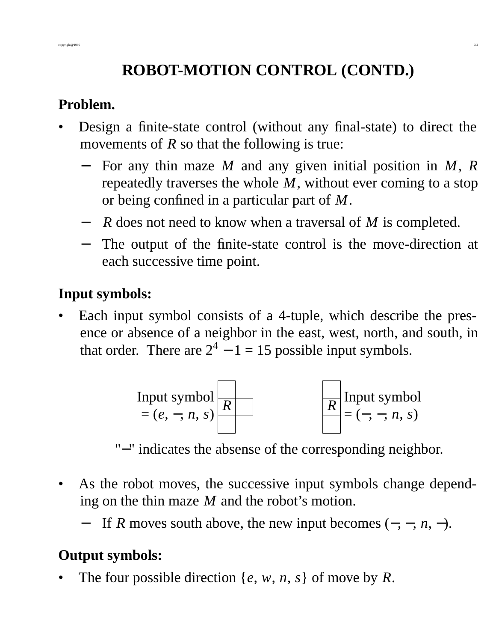# **ROBOT-MOTION CONTROL (CONTD.)**

#### **Problem.**

- Design a finite-state control (without any final-state) to direct the movements of *R* so that the following is true:
	- − For any thin maze *M* and any given initial position in *M*, *R* repeatedly traverses the whole *M*, without ever coming to a stop or being confined in a particular part of *M*.
	- − *R* does not need to know when a traversal of *M* is completed.
	- − The output of the finite-state control is the move-direction at each successive time point.

### **Input symbols:**

Each input symbol consists of a 4-tuple, which describe the presence or absence of a neighbor in the east, west, north, and south, in that order. There are  $2^4 - 1 = 15$  possible input symbols.



"−" indicates the absense of the corresponding neighbor.

- As the robot moves, the successive input symbols change depending on the thin maze *M* and the robot's motion.
	- − If *R* moves south above, the new input becomes (−, −, *n*, −).

### **Output symbols:**

The four possible direction  $\{e, w, n, s\}$  of move by  $R$ .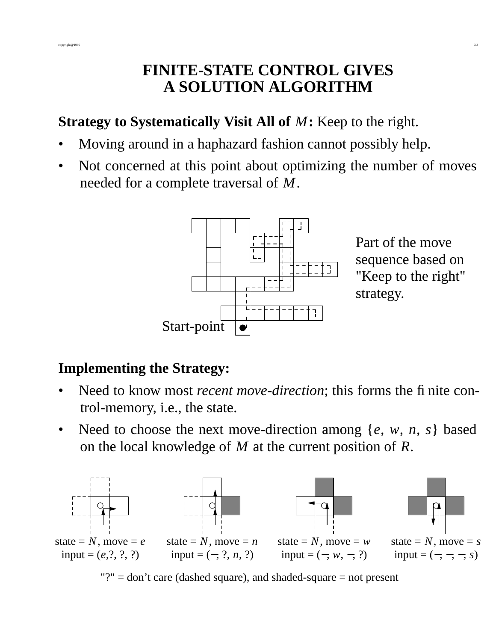### **FINITE-STATE CONTROL GIVES A SOLUTION ALGORITHM**

copyright@1995 3.3

### **Strategy to Systematically Visit All of** *M***:** Keep to the right.

- Moving around in a haphazard fashion cannot possibly help.
- Not concerned at this point about optimizing the number of moves needed for a complete traversal of *M*.



Part of the move sequence based on "Keep to the right" strategy.

### **Implementing the Strategy:**

- Need to know most *recent move-direction*; this forms the finite control-memory, i.e., the state.
- Need to choose the next move-direction among  $\{e, w, n, s\}$  based on the local knowledge of *M* at the current position of *R*.



"?"  $=$  don't care (dashed square), and shaded-square  $=$  not present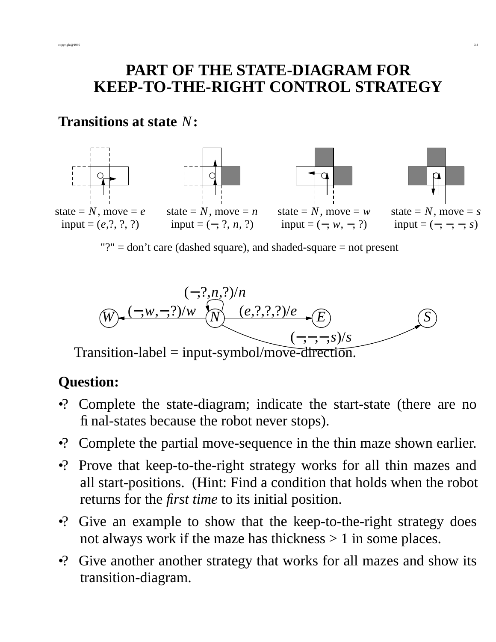### **PART OF THE STATE-DIAGRAM FOR KEEP-TO-THE-RIGHT CONTROL STRATEGY**

#### **Transitions at state** *N***:**



*N* (−,?,*n*,?)/*n*  $W = \frac{(-,w,-,?)/w}{(w)}$   $\frac{(e,?,?,?)/e}{(E-))}$ *S* (−,−,−,*s*)/*s*

Transition-label = input-symbol/move-direction.

# **Question:**

- •? Complete the state-diagram; indicate the start-state (there are no final-states because the robot never stops).
- •? Complete the partial move-sequence in the thin maze shown earlier.
- •? Prove that keep-to-the-right strategy works for all thin mazes and all start-positions. (Hint: Find a condition that holds when the robot returns for the *first time* to its initial position.
- •? Give an example to show that the keep-to-the-right strategy does not always work if the maze has thickness  $> 1$  in some places.
- •? Give another another strategy that works for all mazes and show its transition-diagram.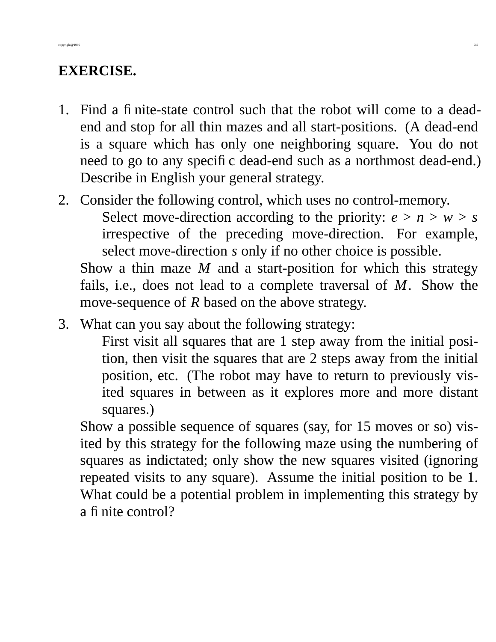### **EXERCISE.**

- 1. Find a finite-state control such that the robot will come to a deadend and stop for all thin mazes and all start-positions. (A dead-end is a square which has only one neighboring square. You do not need to go to any specific dead-end such as a northmost dead-end.) Describe in English your general strategy.
- 2. Consider the following control, which uses no control-memory. Select move-direction according to the priority:  $e > n > w > s$ irrespective of the preceding move-direction. For example, select move-direction *s* only if no other choice is possible.

Show a thin maze  $M$  and a start-position for which this strategy fails, i.e., does not lead to a complete traversal of *M*. Show the move-sequence of *R* based on the above strategy.

3. What can you say about the following strategy:

First visit all squares that are 1 step away from the initial position, then visit the squares that are 2 steps away from the initial position, etc. (The robot may have to return to previously visited squares in between as it explores more and more distant squares.)

Show a possible sequence of squares (say, for 15 moves or so) visited by this strategy for the following maze using the numbering of squares as indictated; only show the new squares visited (ignoring repeated visits to any square). Assume the initial position to be 1. What could be a potential problem in implementing this strategy by a finite control?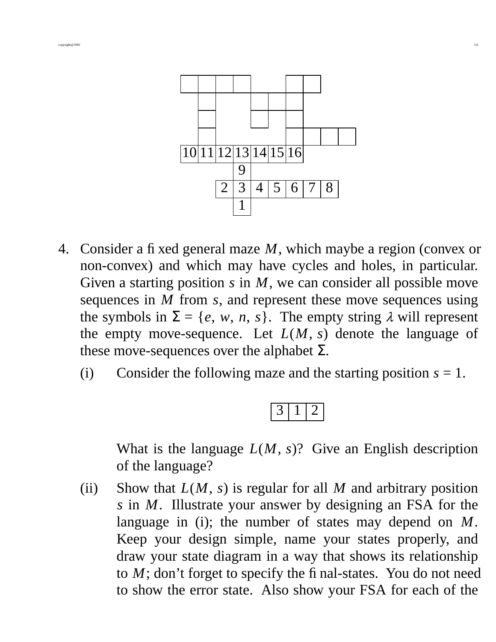

- 4. Consider a fixed general maze *M*, which maybe a region (convex or non-convex) and which may have cycles and holes, in particular. Given a starting position  $s$  in  $M$ , we can consider all possible move sequences in *M* from *s*, and represent these move sequences using the symbols in  $\Sigma = \{e, w, n, s\}$ . The empty string  $\lambda$  will represent the empty move-sequence. Let  $L(M, s)$  denote the language of these move-sequences over the alphabet  $\Sigma$ .
	- (i) Consider the following maze and the starting position  $s = 1$ .



What is the language *L*(*M*, *s*)? Give an English description of the language?

(ii) Show that  $L(M, s)$  is regular for all M and arbitrary position *s* in *M*. Illustrate your answer by designing an FSA for the language in (i); the number of states may depend on *M*. Keep your design simple, name your states properly, and draw your state diagram in a way that shows its relationship to *M*; don't forget to specify the final-states. You do not need to show the error state. Also show your FSA for each of the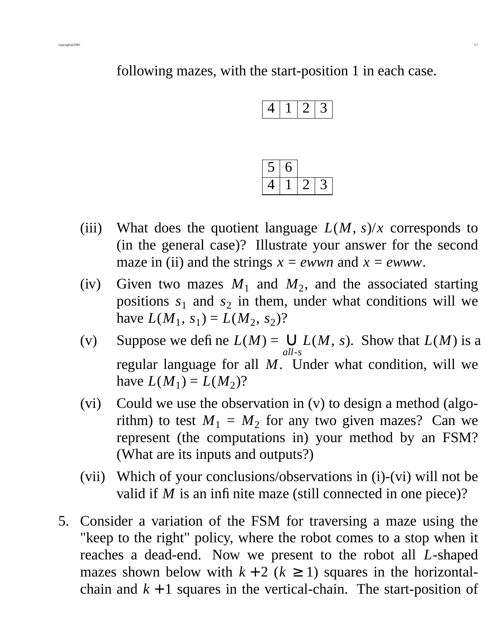following mazes, with the start-position 1 in each case.

|--|--|--|

- (iii) What does the quotient language  $L(M, s)/x$  corresponds to (in the general case)? Illustrate your answer for the second maze in (ii) and the strings  $x = e^{i w}$  and  $x = e^{i w}$ .
- (iv) Given two mazes  $M_1$  and  $M_2$ , and the associated starting positions  $s_1$  and  $s_2$  in them, under what conditions will we have  $L(M_1, s_1) = L(M_2, s_2)$ ?
- (v) Suppose we define  $L(M) =$ *all*-*s*  $∪ L(M, s)$ . Show that  $L(M)$  is a regular language for all *M*. Under what condition, will we have  $L(M_1) = L(M_2)$ ?
- (vi) Could we use the observation in (v) to design a method (algorithm) to test  $M_1 = M_2$  for any two given mazes? Can we represent (the computations in) your method by an FSM? (What are its inputs and outputs?)
- (vii) Which of your conclusions/observations in (i)-(vi) will not be valid if *M* is an infinite maze (still connected in one piece)?
- 5. Consider a variation of the FSM for traversing a maze using the "keep to the right" policy, where the robot comes to a stop when it reaches a dead-end. Now we present to the robot all *L*-shaped mazes shown below with  $k + 2$  ( $k \ge 1$ ) squares in the horizontalchain and  $k + 1$  squares in the vertical-chain. The start-position of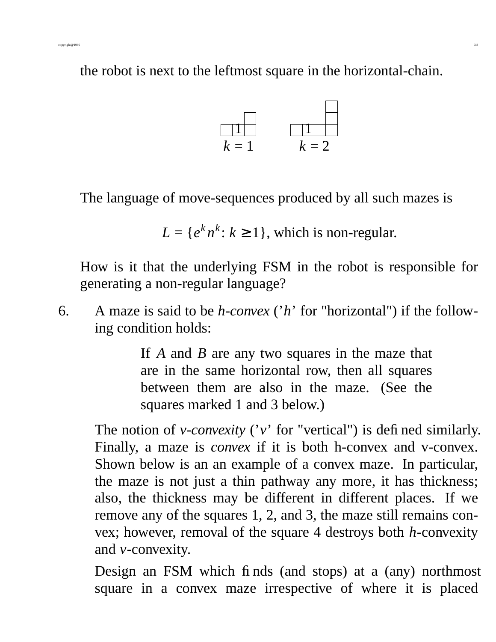the robot is next to the leftmost square in the horizontal-chain.



The language of move-sequences produced by all such mazes is

$$
L = \{e^k n^k : k \ge 1\}
$$
, which is non-regular.

How is it that the underlying FSM in the robot is responsible for generating a non-regular language?

6. A maze is said to be *h-convex* ('*h*' for "horizontal") if the following condition holds:

> If *A* and *B* are any two squares in the maze that are in the same horizontal row, then all squares between them are also in the maze. (See the squares marked 1 and 3 below.)

The notion of *v-convexity* ('*v*' for "vertical") is defined similarly. Finally, a maze is *convex* if it is both h-convex and v-convex. Shown below is an an example of a convex maze. In particular, the maze is not just a thin pathway any more, it has thickness; also, the thickness may be different in different places. If we remove any of the squares 1, 2, and 3, the maze still remains convex; however, removal of the square 4 destroys both *h*-convexity and *v*-convexity.

Design an FSM which finds (and stops) at a (any) northmost square in a convex maze irrespective of where it is placed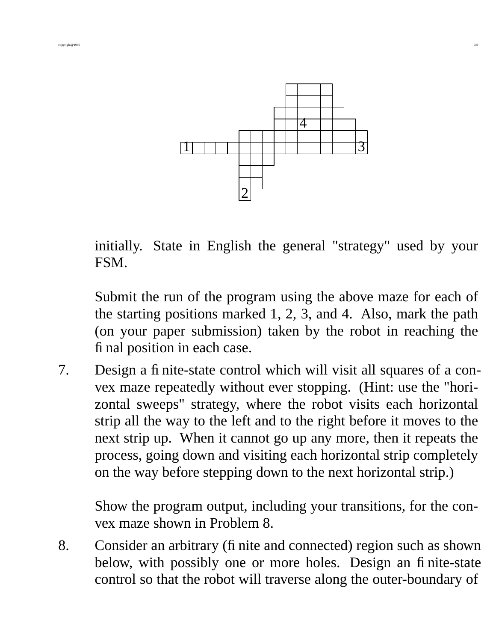

initially. State in English the general "strategy" used by your FSM.

Submit the run of the program using the above maze for each of the starting positions marked 1, 2, 3, and 4. Also, mark the path (on your paper submission) taken by the robot in reaching the final position in each case.

7. Design a finite-state control which will visit all squares of a convex maze repeatedly without ever stopping. (Hint: use the "horizontal sweeps" strategy, where the robot visits each horizontal strip all the way to the left and to the right before it moves to the next strip up. When it cannot go up any more, then it repeats the process, going down and visiting each horizontal strip completely on the way before stepping down to the next horizontal strip.)

Show the program output, including your transitions, for the convex maze shown in Problem 8.

8. Consider an arbitrary (finite and connected) region such as shown below, with possibly one or more holes. Design an finite-state control so that the robot will traverse along the outer-boundary of